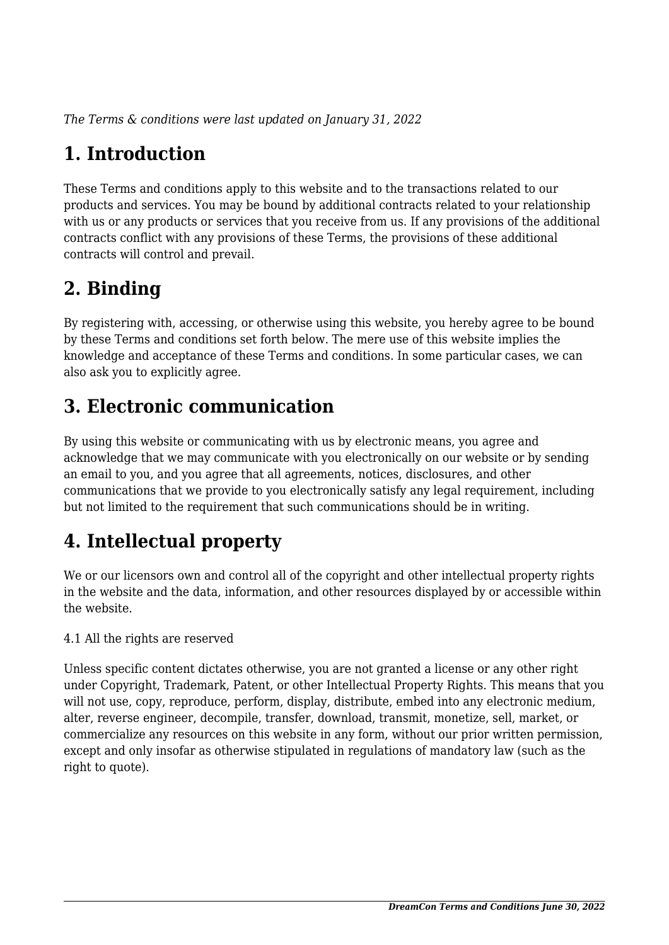*The Terms & conditions were last updated on January 31, 2022*

# **1. Introduction**

These Terms and conditions apply to this website and to the transactions related to our products and services. You may be bound by additional contracts related to your relationship with us or any products or services that you receive from us. If any provisions of the additional contracts conflict with any provisions of these Terms, the provisions of these additional contracts will control and prevail.

## **2. Binding**

By registering with, accessing, or otherwise using this website, you hereby agree to be bound by these Terms and conditions set forth below. The mere use of this website implies the knowledge and acceptance of these Terms and conditions. In some particular cases, we can also ask you to explicitly agree.

# **3. Electronic communication**

By using this website or communicating with us by electronic means, you agree and acknowledge that we may communicate with you electronically on our website or by sending an email to you, and you agree that all agreements, notices, disclosures, and other communications that we provide to you electronically satisfy any legal requirement, including but not limited to the requirement that such communications should be in writing.

# **4. Intellectual property**

We or our licensors own and control all of the copyright and other intellectual property rights in the website and the data, information, and other resources displayed by or accessible within the website.

4.1 All the rights are reserved

Unless specific content dictates otherwise, you are not granted a license or any other right under Copyright, Trademark, Patent, or other Intellectual Property Rights. This means that you will not use, copy, reproduce, perform, display, distribute, embed into any electronic medium, alter, reverse engineer, decompile, transfer, download, transmit, monetize, sell, market, or commercialize any resources on this website in any form, without our prior written permission, except and only insofar as otherwise stipulated in regulations of mandatory law (such as the right to quote).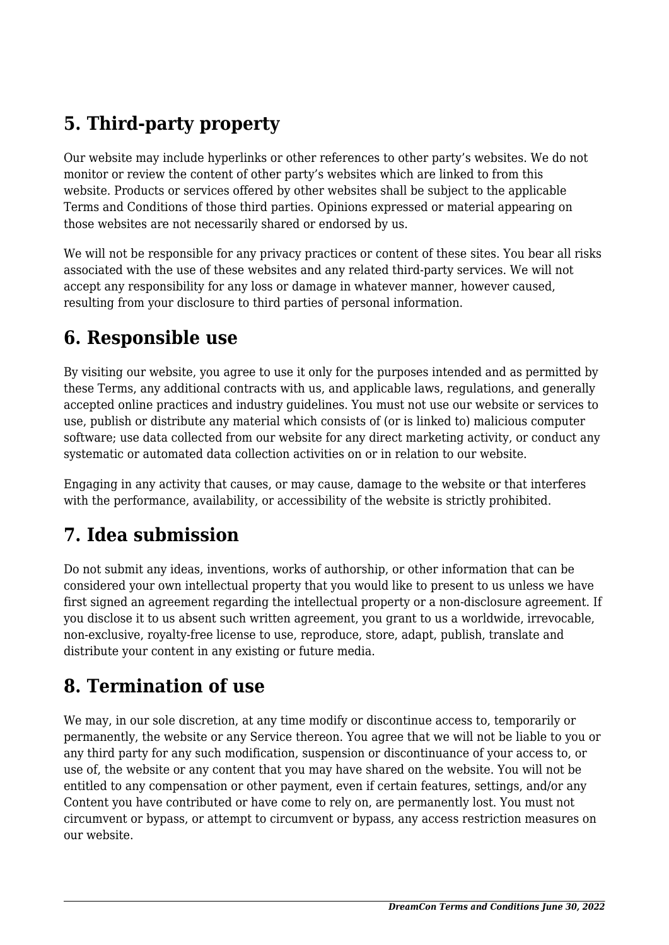# **5. Third-party property**

Our website may include hyperlinks or other references to other party's websites. We do not monitor or review the content of other party's websites which are linked to from this website. Products or services offered by other websites shall be subject to the applicable Terms and Conditions of those third parties. Opinions expressed or material appearing on those websites are not necessarily shared or endorsed by us.

We will not be responsible for any privacy practices or content of these sites. You bear all risks associated with the use of these websites and any related third-party services. We will not accept any responsibility for any loss or damage in whatever manner, however caused, resulting from your disclosure to third parties of personal information.

### **6. Responsible use**

By visiting our website, you agree to use it only for the purposes intended and as permitted by these Terms, any additional contracts with us, and applicable laws, regulations, and generally accepted online practices and industry guidelines. You must not use our website or services to use, publish or distribute any material which consists of (or is linked to) malicious computer software; use data collected from our website for any direct marketing activity, or conduct any systematic or automated data collection activities on or in relation to our website.

Engaging in any activity that causes, or may cause, damage to the website or that interferes with the performance, availability, or accessibility of the website is strictly prohibited.

## **7. Idea submission**

Do not submit any ideas, inventions, works of authorship, or other information that can be considered your own intellectual property that you would like to present to us unless we have first signed an agreement regarding the intellectual property or a non-disclosure agreement. If you disclose it to us absent such written agreement, you grant to us a worldwide, irrevocable, non-exclusive, royalty-free license to use, reproduce, store, adapt, publish, translate and distribute your content in any existing or future media.

### **8. Termination of use**

We may, in our sole discretion, at any time modify or discontinue access to, temporarily or permanently, the website or any Service thereon. You agree that we will not be liable to you or any third party for any such modification, suspension or discontinuance of your access to, or use of, the website or any content that you may have shared on the website. You will not be entitled to any compensation or other payment, even if certain features, settings, and/or any Content you have contributed or have come to rely on, are permanently lost. You must not circumvent or bypass, or attempt to circumvent or bypass, any access restriction measures on our website.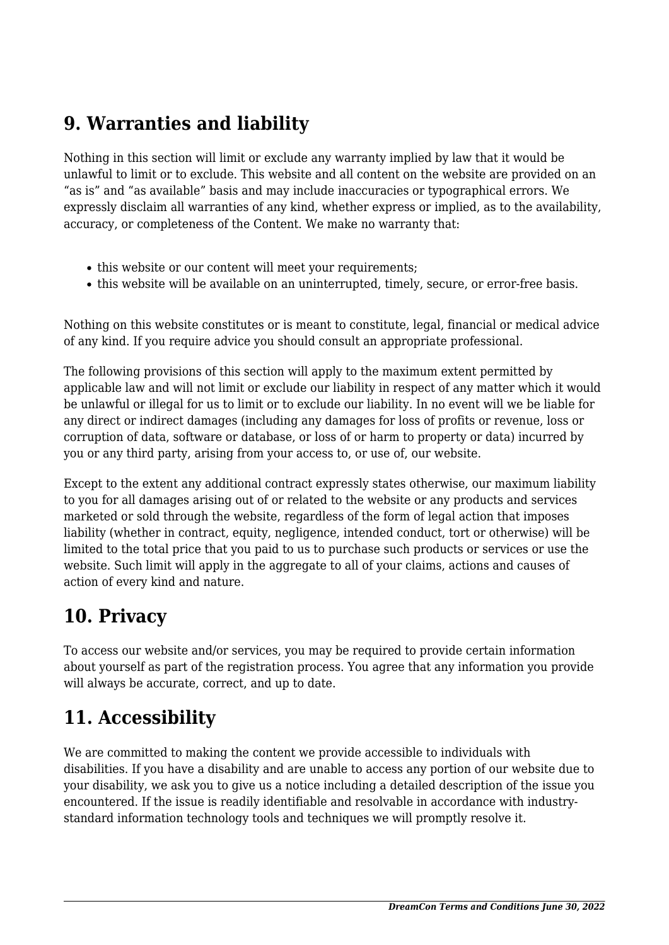### **9. Warranties and liability**

Nothing in this section will limit or exclude any warranty implied by law that it would be unlawful to limit or to exclude. This website and all content on the website are provided on an "as is" and "as available" basis and may include inaccuracies or typographical errors. We expressly disclaim all warranties of any kind, whether express or implied, as to the availability, accuracy, or completeness of the Content. We make no warranty that:

- this website or our content will meet your requirements;
- this website will be available on an uninterrupted, timely, secure, or error-free basis.

Nothing on this website constitutes or is meant to constitute, legal, financial or medical advice of any kind. If you require advice you should consult an appropriate professional.

The following provisions of this section will apply to the maximum extent permitted by applicable law and will not limit or exclude our liability in respect of any matter which it would be unlawful or illegal for us to limit or to exclude our liability. In no event will we be liable for any direct or indirect damages (including any damages for loss of profits or revenue, loss or corruption of data, software or database, or loss of or harm to property or data) incurred by you or any third party, arising from your access to, or use of, our website.

Except to the extent any additional contract expressly states otherwise, our maximum liability to you for all damages arising out of or related to the website or any products and services marketed or sold through the website, regardless of the form of legal action that imposes liability (whether in contract, equity, negligence, intended conduct, tort or otherwise) will be limited to the total price that you paid to us to purchase such products or services or use the website. Such limit will apply in the aggregate to all of your claims, actions and causes of action of every kind and nature.

### **10. Privacy**

To access our website and/or services, you may be required to provide certain information about yourself as part of the registration process. You agree that any information you provide will always be accurate, correct, and up to date.

### **11. Accessibility**

We are committed to making the content we provide accessible to individuals with disabilities. If you have a disability and are unable to access any portion of our website due to your disability, we ask you to give us a notice including a detailed description of the issue you encountered. If the issue is readily identifiable and resolvable in accordance with industrystandard information technology tools and techniques we will promptly resolve it.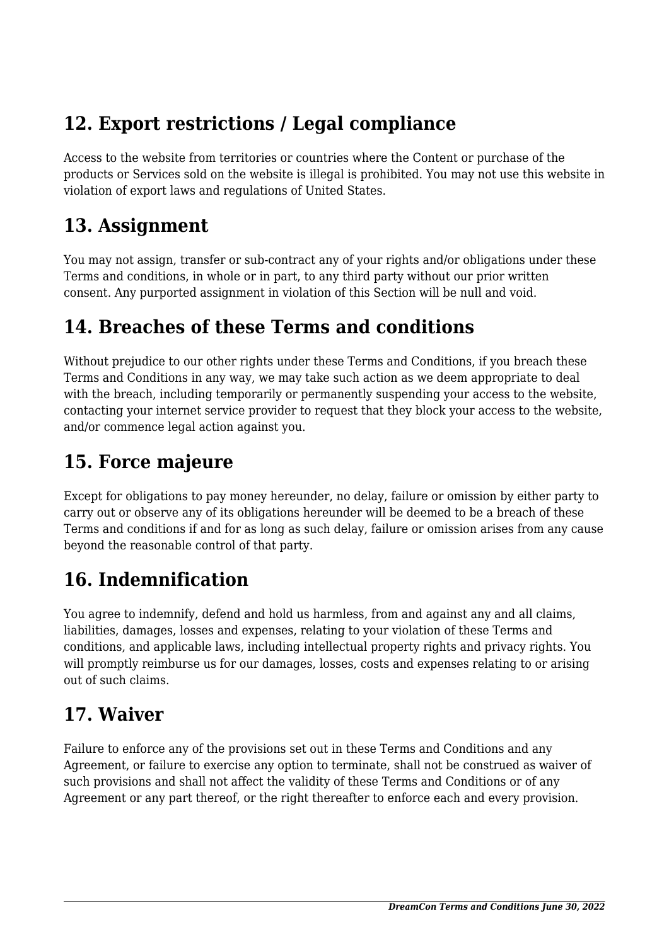## **12. Export restrictions / Legal compliance**

Access to the website from territories or countries where the Content or purchase of the products or Services sold on the website is illegal is prohibited. You may not use this website in violation of export laws and regulations of United States.

#### **13. Assignment**

You may not assign, transfer or sub-contract any of your rights and/or obligations under these Terms and conditions, in whole or in part, to any third party without our prior written consent. Any purported assignment in violation of this Section will be null and void.

## **14. Breaches of these Terms and conditions**

Without prejudice to our other rights under these Terms and Conditions, if you breach these Terms and Conditions in any way, we may take such action as we deem appropriate to deal with the breach, including temporarily or permanently suspending your access to the website, contacting your internet service provider to request that they block your access to the website, and/or commence legal action against you.

## **15. Force majeure**

Except for obligations to pay money hereunder, no delay, failure or omission by either party to carry out or observe any of its obligations hereunder will be deemed to be a breach of these Terms and conditions if and for as long as such delay, failure or omission arises from any cause beyond the reasonable control of that party.

# **16. Indemnification**

You agree to indemnify, defend and hold us harmless, from and against any and all claims, liabilities, damages, losses and expenses, relating to your violation of these Terms and conditions, and applicable laws, including intellectual property rights and privacy rights. You will promptly reimburse us for our damages, losses, costs and expenses relating to or arising out of such claims.

## **17. Waiver**

Failure to enforce any of the provisions set out in these Terms and Conditions and any Agreement, or failure to exercise any option to terminate, shall not be construed as waiver of such provisions and shall not affect the validity of these Terms and Conditions or of any Agreement or any part thereof, or the right thereafter to enforce each and every provision.